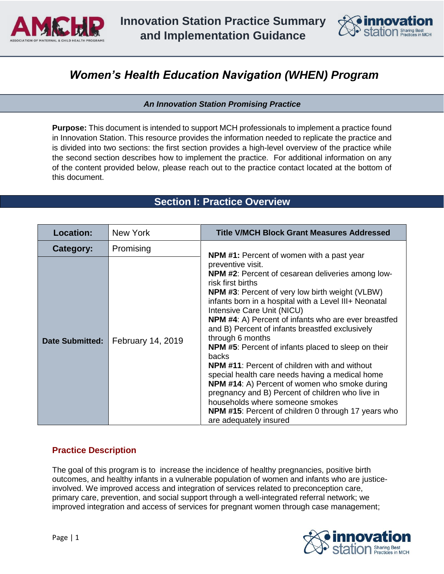



# *Women's Health Education Navigation (WHEN) Program*

*An Innovation Station Promising Practice* 

**Purpose:** This document is intended to support MCH professionals to implement a practice found in Innovation Station. This resource provides the information needed to replicate the practice and is divided into two sections: the first section provides a high-level overview of the practice while the second section describes how to implement the practice. For additional information on any of the content provided below, please reach out to the practice contact located at the bottom of this document.

# **Section I: Practice Overview**

| <b>Location:</b>       | New York                 | <b>Title V/MCH Block Grant Measures Addressed</b>                                                                                                                                                                                                                                                                                                                                                                                                                                                                                                                                                                                                                                                                                                                                                           |
|------------------------|--------------------------|-------------------------------------------------------------------------------------------------------------------------------------------------------------------------------------------------------------------------------------------------------------------------------------------------------------------------------------------------------------------------------------------------------------------------------------------------------------------------------------------------------------------------------------------------------------------------------------------------------------------------------------------------------------------------------------------------------------------------------------------------------------------------------------------------------------|
| Category:              | Promising                | <b>NPM #1:</b> Percent of women with a past year                                                                                                                                                                                                                                                                                                                                                                                                                                                                                                                                                                                                                                                                                                                                                            |
| <b>Date Submitted:</b> | <b>February 14, 2019</b> | preventive visit.<br>NPM #2: Percent of cesarean deliveries among low-<br>risk first births<br><b>NPM #3:</b> Percent of very low birth weight (VLBW)<br>infants born in a hospital with a Level III+ Neonatal<br>Intensive Care Unit (NICU)<br><b>NPM #4:</b> A) Percent of infants who are ever breastfed<br>and B) Percent of infants breastfed exclusively<br>through 6 months<br><b>NPM #5:</b> Percent of infants placed to sleep on their<br>backs<br><b>NPM #11: Percent of children with and without</b><br>special health care needs having a medical home<br><b>NPM #14:</b> A) Percent of women who smoke during<br>pregnancy and B) Percent of children who live in<br>households where someone smokes<br><b>NPM #15:</b> Percent of children 0 through 17 years who<br>are adequately insured |

## **Practice Description**

The goal of this program is to increase the incidence of healthy pregnancies, positive birth outcomes, and healthy infants in a vulnerable population of women and infants who are justiceinvolved. We improved access and integration of services related to preconception care, primary care, prevention, and social support through a well-integrated referral network; we improved integration and access of services for pregnant women through case management;

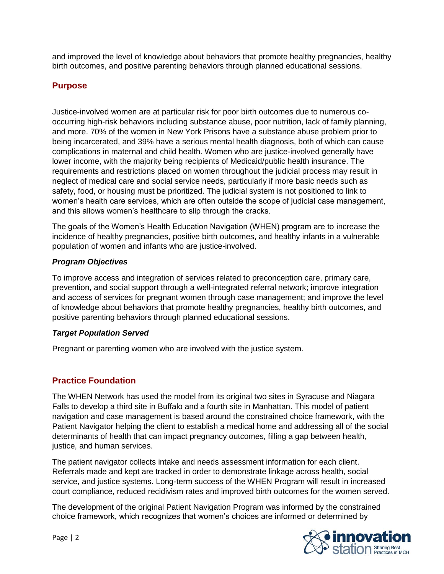and improved the level of knowledge about behaviors that promote healthy pregnancies, healthy birth outcomes, and positive parenting behaviors through planned educational sessions.

## **Purpose**

Justice-involved women are at particular risk for poor birth outcomes due to numerous cooccurring high-risk behaviors including substance abuse, poor nutrition, lack of family planning, and more. 70% of the women in New York Prisons have a substance abuse problem prior to being incarcerated, and 39% have a serious mental health diagnosis, both of which can cause complications in maternal and child health. Women who are justice-involved generally have lower income, with the majority being recipients of Medicaid/public health insurance. The requirements and restrictions placed on women throughout the judicial process may result in neglect of medical care and social service needs, particularly if more basic needs such as safety, food, or housing must be prioritized. The judicial system is not positioned to link to women's health care services, which are often outside the scope of judicial case management, and this allows women's healthcare to slip through the cracks.

The goals of the Women's Health Education Navigation (WHEN) program are to increase the incidence of healthy pregnancies, positive birth outcomes, and healthy infants in a vulnerable population of women and infants who are justice-involved.

#### *Program Objectives*

To improve access and integration of services related to preconception care, primary care, prevention, and social support through a well-integrated referral network; improve integration and access of services for pregnant women through case management; and improve the level of knowledge about behaviors that promote healthy pregnancies, healthy birth outcomes, and positive parenting behaviors through planned educational sessions.

## *Target Population Served*

Pregnant or parenting women who are involved with the justice system.

# **Practice Foundation**

The WHEN Network has used the model from its original two sites in Syracuse and Niagara Falls to develop a third site in Buffalo and a fourth site in Manhattan. This model of patient navigation and case management is based around the constrained choice framework, with the Patient Navigator helping the client to establish a medical home and addressing all of the social determinants of health that can impact pregnancy outcomes, filling a gap between health, justice, and human services.

The patient navigator collects intake and needs assessment information for each client. Referrals made and kept are tracked in order to demonstrate linkage across health, social service, and justice systems. Long-term success of the WHEN Program will result in increased court compliance, reduced recidivism rates and improved birth outcomes for the women served.

The development of the original Patient Navigation Program was informed by the constrained choice framework, which recognizes that women's choices are informed or determined by

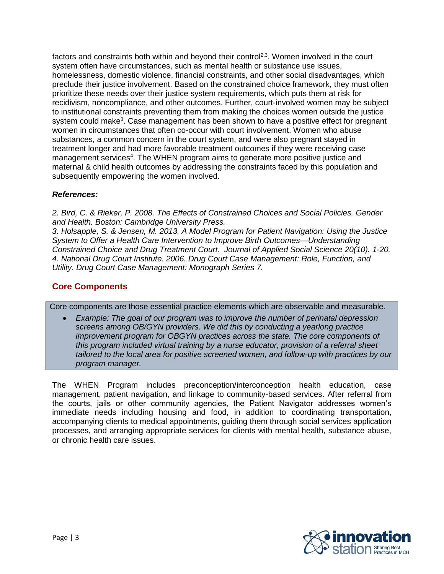factors and constraints both within and beyond their control<sup>2,3</sup>. Women involved in the court system often have circumstances, such as mental health or substance use issues, homelessness, domestic violence, financial constraints, and other social disadvantages, which preclude their justice involvement. Based on the constrained choice framework, they must often prioritize these needs over their justice system requirements, which puts them at risk for recidivism, noncompliance, and other outcomes. Further, court-involved women may be subject to institutional constraints preventing them from making the choices women outside the justice system could make<sup>3</sup>. Case management has been shown to have a positive effect for pregnant women in circumstances that often co-occur with court involvement. Women who abuse substances, a common concern in the court system, and were also pregnant stayed in treatment longer and had more favorable treatment outcomes if they were receiving case management services<sup>4</sup>. The WHEN program aims to generate more positive justice and maternal & child health outcomes by addressing the constraints faced by this population and subsequently empowering the women involved.

#### *References:*

*2. Bird, C. & Rieker, P. 2008. The Effects of Constrained Choices and Social Policies. Gender and Health. Boston: Cambridge University Press.*

*3. Holsapple, S. & Jensen, M. 2013. A Model Program for Patient Navigation: Using the Justice System to Offer a Health Care Intervention to Improve Birth Outcomes—Understanding Constrained Choice and Drug Treatment Court. Journal of Applied Social Science 20(10). 1-20. 4. National Drug Court Institute. 2006. Drug Court Case Management: Role, Function, and Utility. Drug Court Case Management: Monograph Series 7.*

## **Core Components**

Core components are those essential practice elements which are observable and measurable.

• *Example: The goal of our program was to improve the number of perinatal depression screens among OB/GYN providers. We did this by conducting a yearlong practice improvement program for OBGYN practices across the state. The core components of this program included virtual training by a nurse educator, provision of a referral sheet tailored to the local area for positive screened women, and follow-up with practices by our program manager.*

The WHEN Program includes preconception/interconception health education, case management, patient navigation, and linkage to community-based services. After referral from the courts, jails or other community agencies, the Patient Navigator addresses women's immediate needs including housing and food, in addition to coordinating transportation, accompanying clients to medical appointments, guiding them through social services application processes, and arranging appropriate services for clients with mental health, substance abuse, or chronic health care issues.

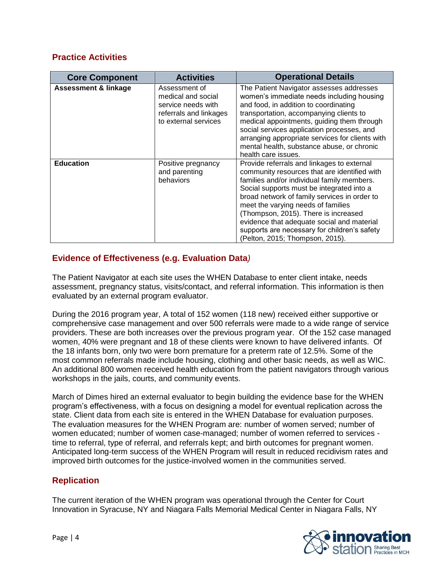# **Practice Activities**

| <b>Core Component</b>           | <b>Activities</b>                                                                                           | <b>Operational Details</b>                                                                                                                                                                                                                                                                                                                                                                                                                           |
|---------------------------------|-------------------------------------------------------------------------------------------------------------|------------------------------------------------------------------------------------------------------------------------------------------------------------------------------------------------------------------------------------------------------------------------------------------------------------------------------------------------------------------------------------------------------------------------------------------------------|
| <b>Assessment &amp; linkage</b> | Assessment of<br>medical and social<br>service needs with<br>referrals and linkages<br>to external services | The Patient Navigator assesses addresses<br>women's immediate needs including housing<br>and food, in addition to coordinating<br>transportation, accompanying clients to<br>medical appointments, guiding them through<br>social services application processes, and<br>arranging appropriate services for clients with<br>mental health, substance abuse, or chronic<br>health care issues.                                                        |
| <b>Education</b>                | Positive pregnancy<br>and parenting<br>behaviors                                                            | Provide referrals and linkages to external<br>community resources that are identified with<br>families and/or individual family members.<br>Social supports must be integrated into a<br>broad network of family services in order to<br>meet the varying needs of families<br>(Thompson, 2015). There is increased<br>evidence that adequate social and material<br>supports are necessary for children's safety<br>(Pelton, 2015; Thompson, 2015). |

# **Evidence of Effectiveness (e.g. Evaluation Data***)*

The Patient Navigator at each site uses the WHEN Database to enter client intake, needs assessment, pregnancy status, visits/contact, and referral information. This information is then evaluated by an external program evaluator.

During the 2016 program year, A total of 152 women (118 new) received either supportive or comprehensive case management and over 500 referrals were made to a wide range of service providers. These are both increases over the previous program year. Of the 152 case managed women, 40% were pregnant and 18 of these clients were known to have delivered infants. Of the 18 infants born, only two were born premature for a preterm rate of 12.5%. Some of the most common referrals made include housing, clothing and other basic needs, as well as WIC. An additional 800 women received health education from the patient navigators through various workshops in the jails, courts, and community events.

March of Dimes hired an external evaluator to begin building the evidence base for the WHEN program's effectiveness, with a focus on designing a model for eventual replication across the state. Client data from each site is entered in the WHEN Database for evaluation purposes. The evaluation measures for the WHEN Program are: number of women served; number of women educated; number of women case-managed; number of women referred to services time to referral, type of referral, and referrals kept; and birth outcomes for pregnant women. Anticipated long-term success of the WHEN Program will result in reduced recidivism rates and improved birth outcomes for the justice-involved women in the communities served.

## **Replication**

The current iteration of the WHEN program was operational through the Center for Court Innovation in Syracuse, NY and Niagara Falls Memorial Medical Center in Niagara Falls, NY

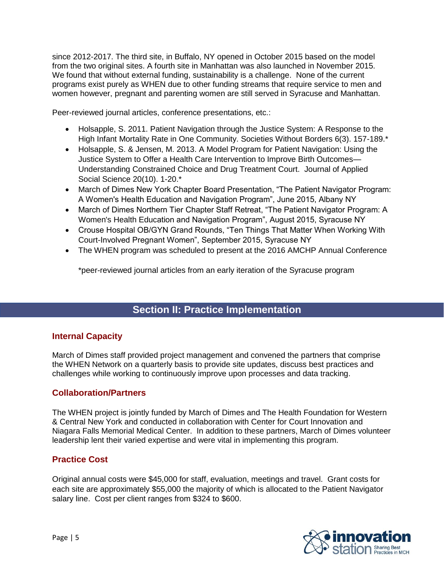since 2012-2017. The third site, in Buffalo, NY opened in October 2015 based on the model from the two original sites. A fourth site in Manhattan was also launched in November 2015. We found that without external funding, sustainability is a challenge. None of the current programs exist purely as WHEN due to other funding streams that require service to men and women however, pregnant and parenting women are still served in Syracuse and Manhattan.

Peer-reviewed journal articles, conference presentations, etc.:

- Holsapple, S. 2011. Patient Navigation through the Justice System: A Response to the High Infant Mortality Rate in One Community. Societies Without Borders 6(3). 157-189.\*
- Holsapple, S. & Jensen, M. 2013. A Model Program for Patient Navigation: Using the Justice System to Offer a Health Care Intervention to Improve Birth Outcomes— Understanding Constrained Choice and Drug Treatment Court. Journal of Applied Social Science 20(10). 1-20.\*
- March of Dimes New York Chapter Board Presentation, "The Patient Navigator Program: A Women's Health Education and Navigation Program", June 2015, Albany NY
- March of Dimes Northern Tier Chapter Staff Retreat, "The Patient Navigator Program: A Women's Health Education and Navigation Program", August 2015, Syracuse NY
- Crouse Hospital OB/GYN Grand Rounds, "Ten Things That Matter When Working With Court-Involved Pregnant Women", September 2015, Syracuse NY
- The WHEN program was scheduled to present at the 2016 AMCHP Annual Conference

\*peer-reviewed journal articles from an early iteration of the Syracuse program

# **Section II: Practice Implementation**

## **Internal Capacity**

March of Dimes staff provided project management and convened the partners that comprise the WHEN Network on a quarterly basis to provide site updates, discuss best practices and challenges while working to continuously improve upon processes and data tracking.

#### **Collaboration/Partners**

The WHEN project is jointly funded by March of Dimes and The Health Foundation for Western & Central New York and conducted in collaboration with Center for Court Innovation and Niagara Falls Memorial Medical Center. In addition to these partners, March of Dimes volunteer leadership lent their varied expertise and were vital in implementing this program.

## **Practice Cost**

Original annual costs were \$45,000 for staff, evaluation, meetings and travel. Grant costs for each site are approximately \$55,000 the majority of which is allocated to the Patient Navigator salary line. Cost per client ranges from \$324 to \$600.

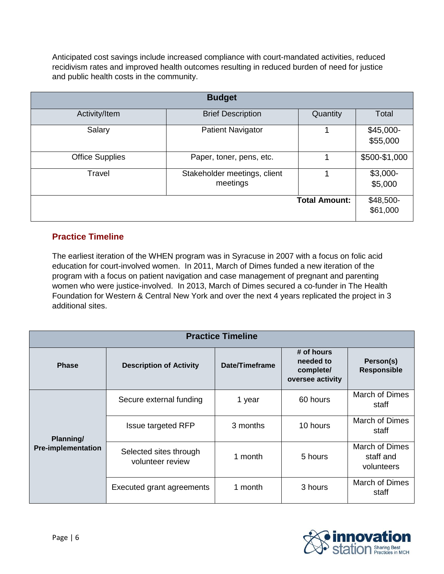Anticipated cost savings include increased compliance with court-mandated activities, reduced recidivism rates and improved health outcomes resulting in reduced burden of need for justice and public health costs in the community.

| <b>Budget</b>          |                                          |                      |                        |
|------------------------|------------------------------------------|----------------------|------------------------|
| Activity/Item          | <b>Brief Description</b>                 | Quantity             | Total                  |
| Salary                 | <b>Patient Navigator</b>                 | 4                    | $$45,000-$<br>\$55,000 |
| <b>Office Supplies</b> | Paper, toner, pens, etc.                 |                      | \$500-\$1,000          |
| Travel                 | Stakeholder meetings, client<br>meetings |                      | $$3,000-$<br>\$5,000   |
|                        |                                          | <b>Total Amount:</b> | \$48,500-<br>\$61,000  |

# **Practice Timeline**

The earliest iteration of the WHEN program was in Syracuse in 2007 with a focus on folic acid education for court-involved women. In 2011, March of Dimes funded a new iteration of the program with a focus on patient navigation and case management of pregnant and parenting women who were justice-involved. In 2013, March of Dimes secured a co-funder in The Health Foundation for Western & Central New York and over the next 4 years replicated the project in 3 additional sites.

| <b>Practice Timeline</b>               |                                            |                |                                                          |                                                  |
|----------------------------------------|--------------------------------------------|----------------|----------------------------------------------------------|--------------------------------------------------|
| <b>Phase</b>                           | <b>Description of Activity</b>             | Date/Timeframe | # of hours<br>needed to<br>complete/<br>oversee activity | Person(s)<br><b>Responsible</b>                  |
| Planning/<br><b>Pre-implementation</b> | Secure external funding                    | 1 year         | 60 hours                                                 | <b>March of Dimes</b><br>staff                   |
|                                        | <b>Issue targeted RFP</b>                  | 3 months       | 10 hours                                                 | March of Dimes<br>staff                          |
|                                        | Selected sites through<br>volunteer review | 1 month        | 5 hours                                                  | <b>March of Dimes</b><br>staff and<br>volunteers |
|                                        | Executed grant agreements                  | 1 month        | 3 hours                                                  | March of Dimes<br>staff                          |

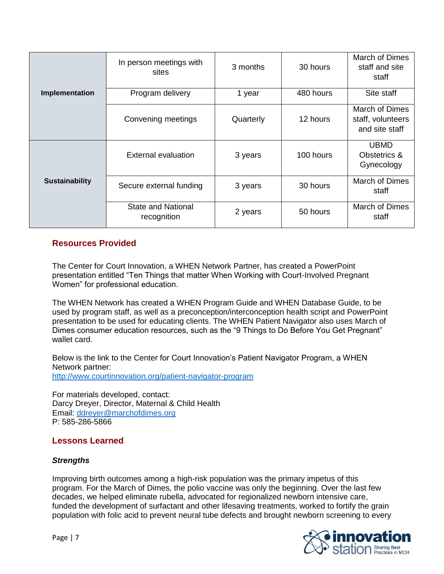|                       | In person meetings with<br>sites         | 3 months  | 30 hours  | March of Dimes<br>staff and site<br>staff             |
|-----------------------|------------------------------------------|-----------|-----------|-------------------------------------------------------|
| Implementation        | Program delivery                         | 1 year    | 480 hours | Site staff                                            |
|                       | Convening meetings                       | Quarterly | 12 hours  | March of Dimes<br>staff, volunteers<br>and site staff |
| <b>Sustainability</b> | External evaluation                      | 3 years   | 100 hours | <b>UBMD</b><br>Obstetrics &<br>Gynecology             |
|                       | Secure external funding                  | 3 years   | 30 hours  | <b>March of Dimes</b><br>staff                        |
|                       | <b>State and National</b><br>recognition | 2 years   | 50 hours  | March of Dimes<br>staff                               |

#### **Resources Provided**

The Center for Court Innovation, a WHEN Network Partner, has created a PowerPoint presentation entitled "Ten Things that matter When Working with Court-Involved Pregnant Women" for professional education.

The WHEN Network has created a WHEN Program Guide and WHEN Database Guide, to be used by program staff, as well as a preconception/interconception health script and PowerPoint presentation to be used for educating clients. The WHEN Patient Navigator also uses March of Dimes consumer education resources, such as the "9 Things to Do Before You Get Pregnant" wallet card.

Below is the link to the Center for Court Innovation's Patient Navigator Program, a WHEN Network partner: <http://www.courtinnovation.org/patient-navigator-program>

For materials developed, contact: Darcy Dreyer, Director, Maternal & Child Health Email: [ddreyer@marchofdimes.org](mailto:ddreyer@marchofdimes.org) P: 585-286-5866

#### **Lessons Learned**

#### *Strengths*

Improving birth outcomes among a high-risk population was the primary impetus of this program. For the March of Dimes, the polio vaccine was only the beginning. Over the last few decades, we helped eliminate rubella, advocated for regionalized newborn intensive care, funded the development of surfactant and other lifesaving treatments, worked to fortify the grain population with folic acid to prevent neural tube defects and brought newborn screening to every

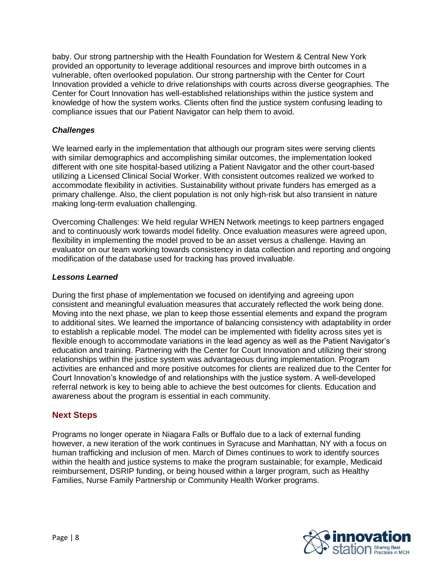baby. Our strong partnership with the Health Foundation for Western & Central New York provided an opportunity to leverage additional resources and improve birth outcomes in a vulnerable, often overlooked population. Our strong partnership with the Center for Court Innovation provided a vehicle to drive relationships with courts across diverse geographies. The Center for Court Innovation has well-established relationships within the justice system and knowledge of how the system works. Clients often find the justice system confusing leading to compliance issues that our Patient Navigator can help them to avoid.

#### *Challenges*

We learned early in the implementation that although our program sites were serving clients with similar demographics and accomplishing similar outcomes, the implementation looked different with one site hospital-based utilizing a Patient Navigator and the other court-based utilizing a Licensed Clinical Social Worker. With consistent outcomes realized we worked to accommodate flexibility in activities. Sustainability without private funders has emerged as a primary challenge. Also, the client population is not only high-risk but also transient in nature making long-term evaluation challenging.

Overcoming Challenges: We held regular WHEN Network meetings to keep partners engaged and to continuously work towards model fidelity. Once evaluation measures were agreed upon, flexibility in implementing the model proved to be an asset versus a challenge. Having an evaluator on our team working towards consistency in data collection and reporting and ongoing modification of the database used for tracking has proved invaluable.

#### *Lessons Learned*

During the first phase of implementation we focused on identifying and agreeing upon consistent and meaningful evaluation measures that accurately reflected the work being done. Moving into the next phase, we plan to keep those essential elements and expand the program to additional sites. We learned the importance of balancing consistency with adaptability in order to establish a replicable model. The model can be implemented with fidelity across sites yet is flexible enough to accommodate variations in the lead agency as well as the Patient Navigator's education and training. Partnering with the Center for Court Innovation and utilizing their strong relationships within the justice system was advantageous during implementation. Program activities are enhanced and more positive outcomes for clients are realized due to the Center for Court Innovation's knowledge of and relationships with the justice system. A well-developed referral network is key to being able to achieve the best outcomes for clients. Education and awareness about the program is essential in each community.

## **Next Steps**

Programs no longer operate in Niagara Falls or Buffalo due to a lack of external funding however, a new iteration of the work continues in Syracuse and Manhattan, NY with a focus on human trafficking and inclusion of men. March of Dimes continues to work to identify sources within the health and justice systems to make the program sustainable; for example, Medicaid reimbursement, DSRIP funding, or being housed within a larger program, such as Healthy Families, Nurse Family Partnership or Community Health Worker programs.